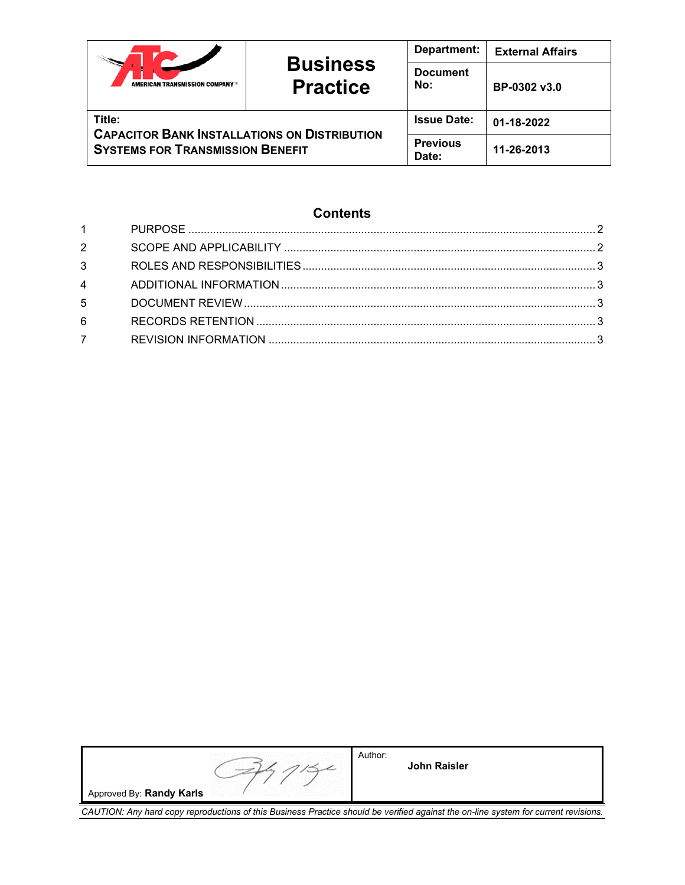|                                                                                                          | <b>Business</b><br><b>Practice</b> | Department:              | <b>External Affairs</b> |
|----------------------------------------------------------------------------------------------------------|------------------------------------|--------------------------|-------------------------|
| AMERICAN TRANSMISSION COMPANY ®                                                                          |                                    | <b>Document</b><br>No:   | BP-0302 v3.0            |
| Title:<br><b>CAPACITOR BANK INSTALLATIONS ON DISTRIBUTION</b><br><b>SYSTEMS FOR TRANSMISSION BENEFIT</b> |                                    | <b>Issue Date:</b>       | 01-18-2022              |
|                                                                                                          |                                    | <b>Previous</b><br>Date: | 11-26-2013              |

# **Contents**

| $1 \quad \Box$                 |  |
|--------------------------------|--|
| $2 \left( \frac{1}{2} \right)$ |  |
| $3^{\circ}$                    |  |
| $4\overline{ }$                |  |
| 5 <sub>5</sub>                 |  |
| 6                              |  |
| $7^{\circ}$                    |  |

|                          | Author:<br><b>John Raisler</b> |
|--------------------------|--------------------------------|
| Approved By: Randy Karls |                                |

*CAUTION: Any hard copy reproductions of this Business Practice should be verified against the on-line system for current revisions.*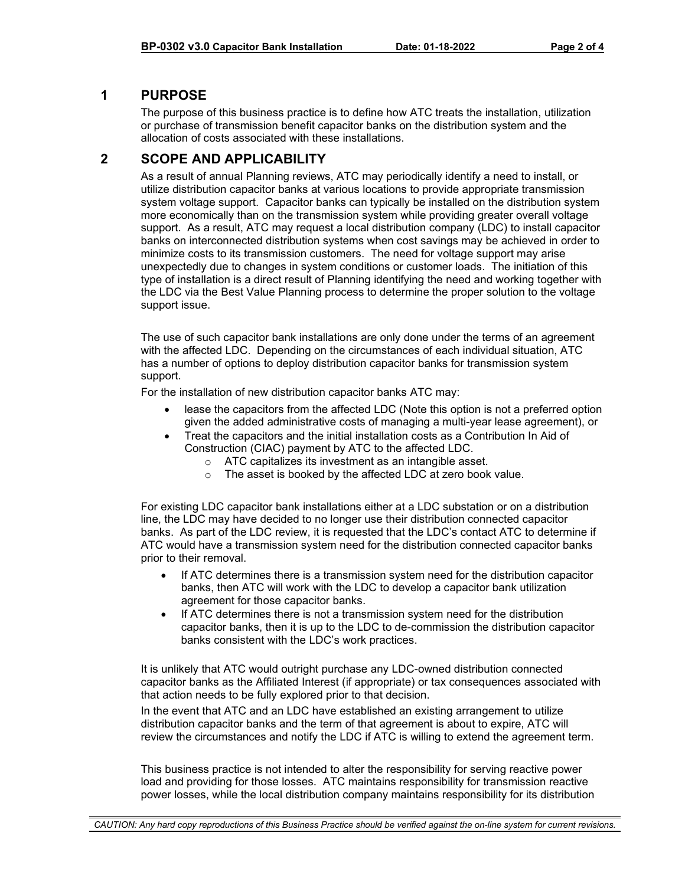## <span id="page-1-0"></span>**1 PURPOSE**

The purpose of this business practice is to define how ATC treats the installation, utilization or purchase of transmission benefit capacitor banks on the distribution system and the allocation of costs associated with these installations.

## <span id="page-1-1"></span>**2 SCOPE AND APPLICABILITY**

As a result of annual Planning reviews, ATC may periodically identify a need to install, or utilize distribution capacitor banks at various locations to provide appropriate transmission system voltage support. Capacitor banks can typically be installed on the distribution system more economically than on the transmission system while providing greater overall voltage support. As a result, ATC may request a local distribution company (LDC) to install capacitor banks on interconnected distribution systems when cost savings may be achieved in order to minimize costs to its transmission customers. The need for voltage support may arise unexpectedly due to changes in system conditions or customer loads. The initiation of this type of installation is a direct result of Planning identifying the need and working together with the LDC via the Best Value Planning process to determine the proper solution to the voltage support issue.

The use of such capacitor bank installations are only done under the terms of an agreement with the affected LDC. Depending on the circumstances of each individual situation, ATC has a number of options to deploy distribution capacitor banks for transmission system support.

For the installation of new distribution capacitor banks ATC may:

- lease the capacitors from the affected LDC (Note this option is not a preferred option given the added administrative costs of managing a multi-year lease agreement), or
- Treat the capacitors and the initial installation costs as a Contribution In Aid of Construction (CIAC) payment by ATC to the affected LDC.
	- o ATC capitalizes its investment as an intangible asset.
	- o The asset is booked by the affected LDC at zero book value.

For existing LDC capacitor bank installations either at a LDC substation or on a distribution line, the LDC may have decided to no longer use their distribution connected capacitor banks. As part of the LDC review, it is requested that the LDC's contact ATC to determine if ATC would have a transmission system need for the distribution connected capacitor banks prior to their removal.

- If ATC determines there is a transmission system need for the distribution capacitor banks, then ATC will work with the LDC to develop a capacitor bank utilization agreement for those capacitor banks.
- If ATC determines there is not a transmission system need for the distribution capacitor banks, then it is up to the LDC to de-commission the distribution capacitor banks consistent with the LDC's work practices.

It is unlikely that ATC would outright purchase any LDC-owned distribution connected capacitor banks as the Affiliated Interest (if appropriate) or tax consequences associated with that action needs to be fully explored prior to that decision.

In the event that ATC and an LDC have established an existing arrangement to utilize distribution capacitor banks and the term of that agreement is about to expire, ATC will review the circumstances and notify the LDC if ATC is willing to extend the agreement term.

This business practice is not intended to alter the responsibility for serving reactive power load and providing for those losses. ATC maintains responsibility for transmission reactive power losses, while the local distribution company maintains responsibility for its distribution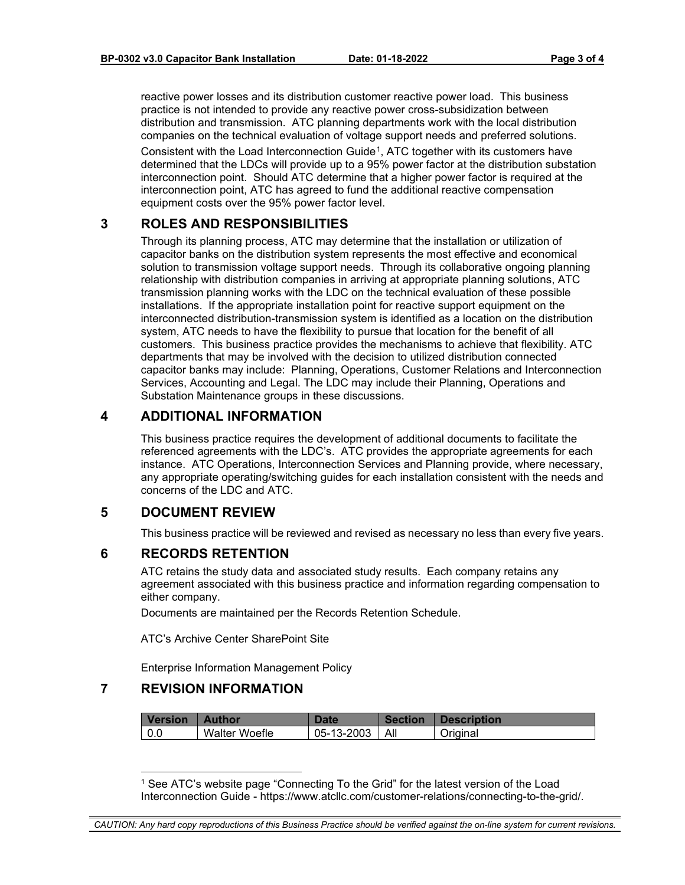reactive power losses and its distribution customer reactive power load. This business practice is not intended to provide any reactive power cross-subsidization between distribution and transmission. ATC planning departments work with the local distribution companies on the technical evaluation of voltage support needs and preferred solutions.

Consistent with the Load Interconnection Guide[1](#page-2-5), ATC together with its customers have determined that the LDCs will provide up to a 95% power factor at the distribution substation interconnection point. Should ATC determine that a higher power factor is required at the interconnection point, ATC has agreed to fund the additional reactive compensation equipment costs over the 95% power factor level.

## <span id="page-2-0"></span>**3 ROLES AND RESPONSIBILITIES**

Through its planning process, ATC may determine that the installation or utilization of capacitor banks on the distribution system represents the most effective and economical solution to transmission voltage support needs. Through its collaborative ongoing planning relationship with distribution companies in arriving at appropriate planning solutions, ATC transmission planning works with the LDC on the technical evaluation of these possible installations. If the appropriate installation point for reactive support equipment on the interconnected distribution-transmission system is identified as a location on the distribution system, ATC needs to have the flexibility to pursue that location for the benefit of all customers. This business practice provides the mechanisms to achieve that flexibility. ATC departments that may be involved with the decision to utilized distribution connected capacitor banks may include: Planning, Operations, Customer Relations and Interconnection Services, Accounting and Legal. The LDC may include their Planning, Operations and Substation Maintenance groups in these discussions.

#### <span id="page-2-1"></span>**4 ADDITIONAL INFORMATION**

This business practice requires the development of additional documents to facilitate the referenced agreements with the LDC's. ATC provides the appropriate agreements for each instance. ATC Operations, Interconnection Services and Planning provide, where necessary, any appropriate operating/switching guides for each installation consistent with the needs and concerns of the LDC and ATC.

### <span id="page-2-2"></span>**5 DOCUMENT REVIEW**

This business practice will be reviewed and revised as necessary no less than every five years.

#### <span id="page-2-3"></span>**6 RECORDS RETENTION**

ATC retains the study data and associated study results. Each company retains any agreement associated with this business practice and information regarding compensation to either company.

Documents are maintained per the Records Retention Schedule.

ATC's Archive Center SharePoint Site

Enterprise Information Management Policy

### <span id="page-2-5"></span><span id="page-2-4"></span>**7 REVISION INFORMATION**

| <b>Version</b> | <b>Author</b> | <b>Date</b>      | <b>Section</b> | <b>Description</b> |
|----------------|---------------|------------------|----------------|--------------------|
| l 0.0          | Walter Woefle | 05-13-2003   All |                | Original           |

<sup>1</sup> See ATC's website page "Connecting To the Grid" for the latest version of the Load Interconnection Guide - https://www.atcllc.com/customer-relations/connecting-to-the-grid/.